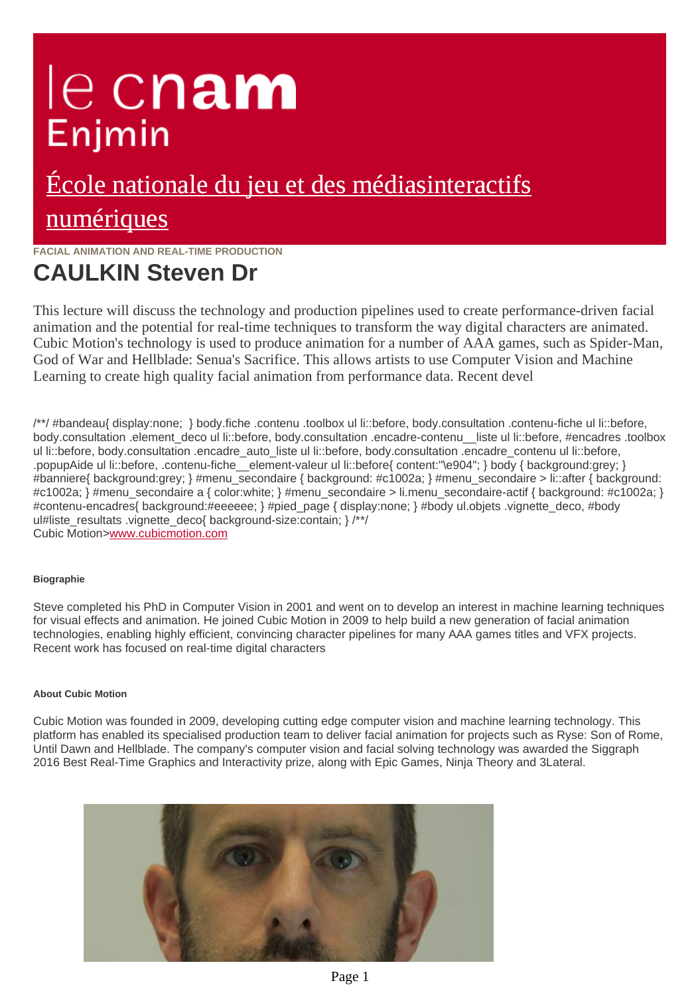# le cnam Enjmin

## [École nationale du jeu et des médiasinteractifs](https://enjmin.cnam.fr/) numériques

## **FACIAL ANIMATION AND REAL-TIME PRODUCTION**

## **CAULKIN Steven Dr**

This lecture will discuss the technology and production pipelines used to create performance-driven facial animation and the potential for real-time techniques to transform the way digital characters are animated. Cubic Motion's technology is used to produce animation for a number of AAA games, such as Spider-Man, God of War and Hellblade: Senua's Sacrifice. This allows artists to use Computer Vision and Machine Learning to create high quality facial animation from performance data. Recent devel

/\*\*/ #bandeau{ display:none; } body.fiche .contenu .toolbox ul li::before, body.consultation .contenu-fiche ul li::before, body.consultation .element\_deco ul li::before, body.consultation .encadre-contenu \_liste ul li::before, #encadres .toolbox ul li::before, body.consultation .encadre\_auto\_liste ul li::before, body.consultation .encadre\_contenu ul li::before, .popupAide ul li::before, .contenu-fiche\_\_element-valeur ul li::before{ content:"\e904"; } body { background:grey; } #banniere{ background:grey; } #menu\_secondaire { background: #c1002a; } #menu\_secondaire > li::after { backgroun #c1002a; } #menu\_secondaire a { color:white; } #menu\_secondaire > li.menu\_secondaire-actif { background: #c1002 #contenu-encadres{
background:#eeeeee;
}
#pied\_page {
display:none;
}
#body ul.objets .vignette\_deco, #body ul#liste\_resultats .vignette\_deco{ background-size:contain; }/\*/ Cubic Motion[>www.cubicmotion.com](http://ajv.enjmin.fr/www.cubicmotion.com)

### **Biographie**

Steve completed his PhD in Computer Vision in 2001 and went on to develop an interest in machine learning techniques for visual effects and animation. He joined Cubic Motion in 2009 to help build a new generation of facial animation technologies, enabling highly efficient, convincing character pipelines for many AAA games titles and VFX projects. Recent work has focused on real-time digital characters

### **About Cubic Motion**

Cubic Motion was founded in 2009, developing cutting edge computer vision and machine learning technology. This platform has enabled its specialised production team to deliver facial animation for projects such as Ryse: Son of Rome, Until Dawn and Hellblade. The company's computer vision and facial solving technology was awarded the Siggraph 2016 Best Real-Time Graphics and Interactivity prize, along with Epic Games, Ninja Theory and 3Lateral.